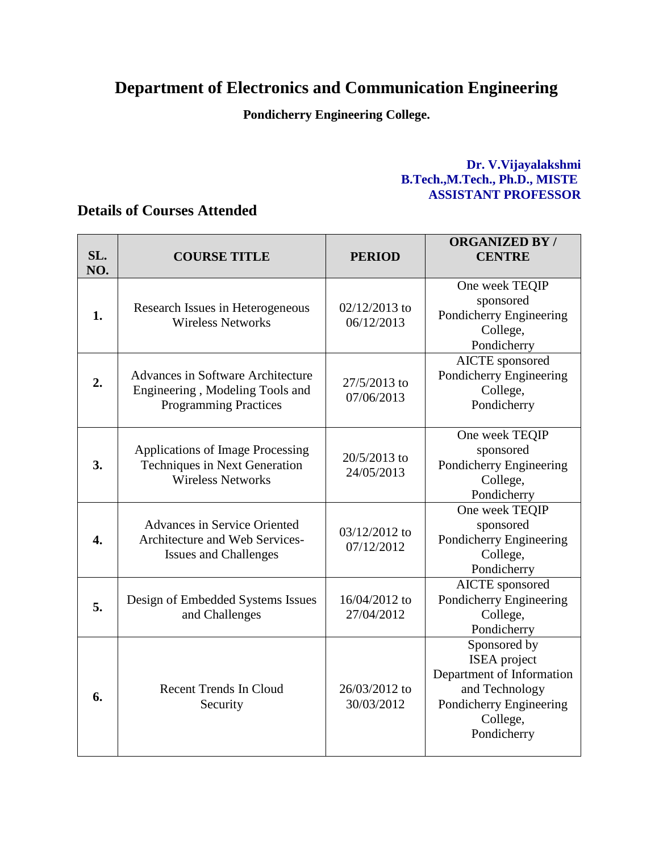## **Department of Electronics and Communication Engineering**

**Pondicherry Engineering College.**

## **Dr. V.Vijayalakshmi B.Tech.,M.Tech., Ph.D., MISTE ASSISTANT PROFESSOR**

## **Details of Courses Attended**

| SL.<br>NO.       | <b>COURSE TITLE</b>                                                                                         | <b>PERIOD</b>               | <b>ORGANIZED BY/</b><br><b>CENTRE</b>                                                                                                    |
|------------------|-------------------------------------------------------------------------------------------------------------|-----------------------------|------------------------------------------------------------------------------------------------------------------------------------------|
| 1.               | Research Issues in Heterogeneous<br><b>Wireless Networks</b>                                                | 02/12/2013 to<br>06/12/2013 | One week TEQIP<br>sponsored<br>Pondicherry Engineering<br>College,<br>Pondicherry                                                        |
| 2.               | <b>Advances in Software Architecture</b><br>Engineering, Modeling Tools and<br><b>Programming Practices</b> | 27/5/2013 to<br>07/06/2013  | <b>AICTE</b> sponsored<br>Pondicherry Engineering<br>College,<br>Pondicherry                                                             |
| 3.               | Applications of Image Processing<br>Techniques in Next Generation<br><b>Wireless Networks</b>               | 20/5/2013 to<br>24/05/2013  | One week TEQIP<br>sponsored<br>Pondicherry Engineering<br>College,<br>Pondicherry                                                        |
| $\overline{4}$ . | <b>Advances in Service Oriented</b><br>Architecture and Web Services-<br><b>Issues and Challenges</b>       | 03/12/2012 to<br>07/12/2012 | One week TEQIP<br>sponsored<br>Pondicherry Engineering<br>College,<br>Pondicherry                                                        |
| 5.               | Design of Embedded Systems Issues<br>and Challenges                                                         | 16/04/2012 to<br>27/04/2012 | <b>AICTE</b> sponsored<br>Pondicherry Engineering<br>College,<br>Pondicherry                                                             |
| 6.               | <b>Recent Trends In Cloud</b><br>Security                                                                   | 26/03/2012 to<br>30/03/2012 | Sponsored by<br><b>ISEA</b> project<br>Department of Information<br>and Technology<br>Pondicherry Engineering<br>College,<br>Pondicherry |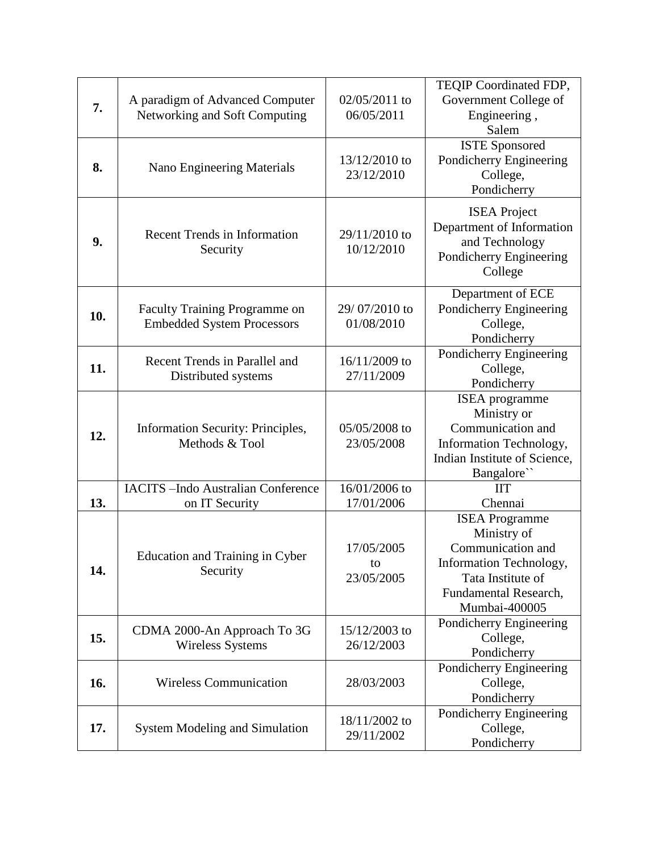| 7.  | A paradigm of Advanced Computer<br>Networking and Soft Computing   | 02/05/2011 to<br>06/05/2011    | TEQIP Coordinated FDP,<br>Government College of<br>Engineering,<br>Salem                                                                            |
|-----|--------------------------------------------------------------------|--------------------------------|-----------------------------------------------------------------------------------------------------------------------------------------------------|
| 8.  | Nano Engineering Materials                                         | 13/12/2010 to<br>23/12/2010    | <b>ISTE Sponsored</b><br>Pondicherry Engineering<br>College,<br>Pondicherry                                                                         |
| 9.  | <b>Recent Trends in Information</b><br>Security                    | 29/11/2010 to<br>10/12/2010    | <b>ISEA</b> Project<br>Department of Information<br>and Technology<br>Pondicherry Engineering<br>College                                            |
| 10. | Faculty Training Programme on<br><b>Embedded System Processors</b> | 29/07/2010 to<br>01/08/2010    | Department of ECE<br>Pondicherry Engineering<br>College,<br>Pondicherry                                                                             |
| 11. | Recent Trends in Parallel and<br>Distributed systems               | 16/11/2009 to<br>27/11/2009    | Pondicherry Engineering<br>College,<br>Pondicherry                                                                                                  |
| 12. | Information Security: Principles,<br>Methods & Tool                | 05/05/2008 to<br>23/05/2008    | ISEA programme<br>Ministry or<br>Communication and<br>Information Technology,<br>Indian Institute of Science,<br>Bangalore``                        |
| 13. | <b>IACITS</b> -Indo Australian Conference<br>on IT Security        | 16/01/2006 to<br>17/01/2006    | <b>IIT</b><br>Chennai                                                                                                                               |
| 14. | <b>Education and Training in Cyber</b><br>Security                 | 17/05/2005<br>to<br>23/05/2005 | <b>ISEA</b> Programme<br>Ministry of<br>Communication and<br>Information Technology,<br>Tata Institute of<br>Fundamental Research,<br>Mumbai-400005 |
| 15. | CDMA 2000-An Approach To 3G<br><b>Wireless Systems</b>             | 15/12/2003 to<br>26/12/2003    | Pondicherry Engineering<br>College,<br>Pondicherry                                                                                                  |
| 16. | <b>Wireless Communication</b>                                      | 28/03/2003                     | Pondicherry Engineering<br>College,<br>Pondicherry                                                                                                  |
| 17. | <b>System Modeling and Simulation</b>                              | 18/11/2002 to<br>29/11/2002    | Pondicherry Engineering<br>College,<br>Pondicherry                                                                                                  |